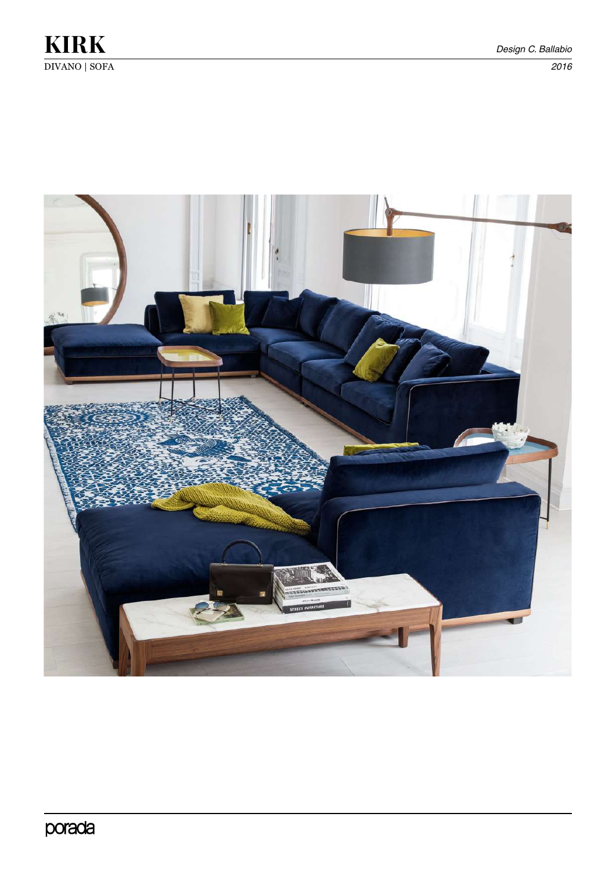

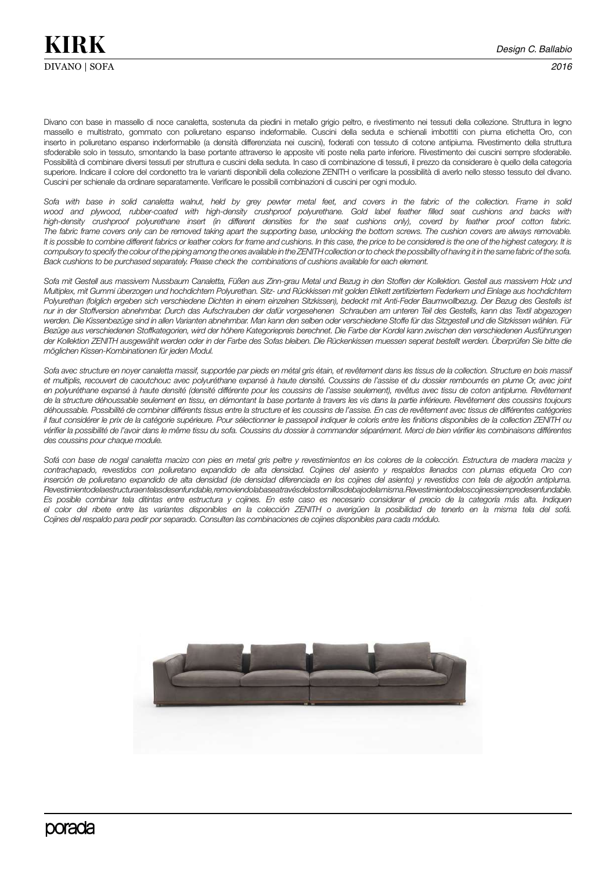Divano con base in massello di noce canaletta, sostenuta da piedini in metallo grigio peltro, e rivestimento nei tessuti della collezione. Struttura in legno massello e multistrato, gommato con poliuretano espanso indeformabile. Cuscini della seduta e schienali imbottiti con piuma etichetta Oro, con inserto in poliuretano espanso inderformabile (a densità differenziata nei cuscini), foderati con tessuto di cotone antipiuma. Rivestimento della struttura sfoderabile solo in tessuto, smontando la base portante attraverso le apposite viti poste nella parte inferiore. Rivestimento dei cuscini sempre sfoderabile. Possibilità di combinare diversi tessuti per struttura e cuscini della seduta. In caso di combinazione di tessuti, il prezzo da considerare è quello della categoria superiore. Indicare il colore del cordonetto tra le varianti disponibili della collezione ZENITH o verificare la possibilità di averlo nello stesso tessuto del divano. Cuscini per schienale da ordinare separatamente. Verificare le possibili combinazioni di cuscini per ogni modulo.

*Sofa with base in solid canaletta walnut, held by grey pewter metal feet, and covers in the fabric of the collection. Frame in solid*  wood and plywood, rubber-coated with high-density crushproof polyurethane. Gold label feather filled seat cushions and backs with *high-density crushproof polyurethane insert (in different densities for the seat cushions only), coverd by feather proof cotton fabric. The fabric frame covers only can be removed taking apart the supporting base, unlocking the bottom screws. The cushion covers are always removable. It is possible to combine different fabrics or leather colors for frame and cushions. In this case, the price to be considered is the one of the highest category. It is compulsory to specify the colour of the piping among the ones available in the ZENITH collection or to check the possibility of having it in the same fabric of the sofa. Back cushions to be purchased separately. Please check the combinations of cushions available for each element.*

*Sofa mit Gestell aus massivem Nussbaum Canaletta, Füßen aus Zinn-grau Metal und Bezug in den Stoffen der Kollektion. Gestell aus massivem Holz und Multiplex, mit Gummi überzogen und hochdichtem Polyurethan. Sitz- und Rückkissen mit golden Etikett zertifiziertem Federkern und Einlage aus hochdichtem Polyurethan (folglich ergeben sich verschiedene Dichten in einem einzelnen Sitzkissen), bedeckt mit Anti-Feder Baumwollbezug. Der Bezug des Gestells ist nur in der Stoffversion abnehmbar. Durch das Aufschrauben der dafür vorgesehenen Schrauben am unteren Teil des Gestells, kann das Textil abgezogen werden. Die Kissenbezüge sind in allen Varianten abnehmbar. Man kann den selben oder verschiedene Stoffe für das Sitzgestell und die Sitzkissen wählen. Für Bezüge aus verschiedenen Stoffkategorien, wird der höhere Kategoriepreis berechnet. Die Farbe der Kordel kann zwischen den verschiedenen Ausführungen der Kollektion ZENITH ausgewählt werden oder in der Farbe des Sofas bleiben. Die Rückenkissen muessen seperat bestellt werden. Überprüfen Sie bitte die möglichen Kissen-Kombinationen für jeden Modul.* 

Sofa avec structure en noyer canaletta massif, supportée par pieds en métal gris étain, et revêtement dans les tissus de la collection. Structure en bois massif *et multiplis, recouvert de caoutchouc avec polyuréthane expansé à haute densité. Coussins de l'assise et du dossier rembourrés en plume Or, avec joint*  en polyuréthane expansé à haute densité (densité différente pour les coussins de l'assise seulement), revêtus avec tissu de coton antiplume. Revêtement *de la structure déhoussable seulement en tissu, en démontant la base portante à travers les vis dans la partie inférieure. Revêtement des coussins toujours déhoussable. Possibilité de combiner différents tissus entre la structure et les coussins de l'assise. En cas de revêtement avec tissus de différentes catégories il faut considérer le prix de la catégorie supérieure. Pour sélectionner le passepoil indiquer le coloris entre les finitions disponibles de la collection ZENITH ou*  vérifier la possibilité de l'avoir dans le même tissu du sofa. Coussins du dossier à commander séparément. Merci de bien vérifier les combinaisons différentes *des coussins pour chaque module.* 

*Sofá con base de nogal canaletta macizo con pies en metal gris peltre y revestimientos en los colores de la colección. Estructura de madera maciza y contrachapado, revestidos con poliuretano expandido de alta densidad. Cojines del asiento y respaldos llenados con plumas etiqueta Oro con inserción de poliuretano expandido de alta densidad (de densidad diferenciada en los cojines del asiento) y revestidos con tela de algodón antipluma. Revestimiento de la estructura en telas desenfundable, removiendo la base a través de los tornillos debajo de la misma. Revestimiento de los cojines siempre desenfundable. Es posible combinar tela ditintas entre estructura y cojines. En este caso es necesario considerar el precio de la categoría más alta. Indiquen el color del ribete entre las variantes disponibles en la colección ZENITH o averigüen la posibilidad de tenerlo en la misma tela del sofá. Cojines del respaldo para pedir por separado. Consulten las combinaciones de cojines disponibles para cada módulo.*

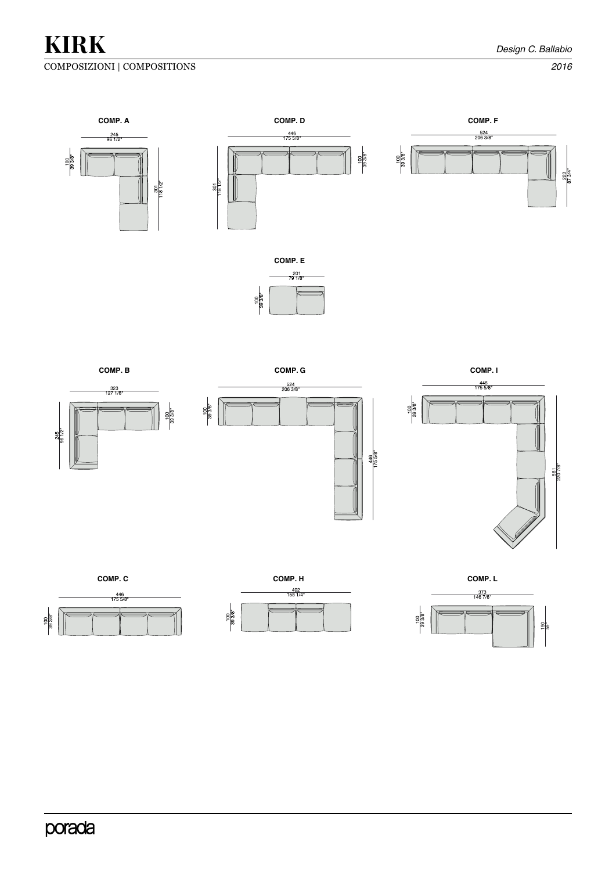## COMPOSIZIONI | COMPOSITIONS *2016*

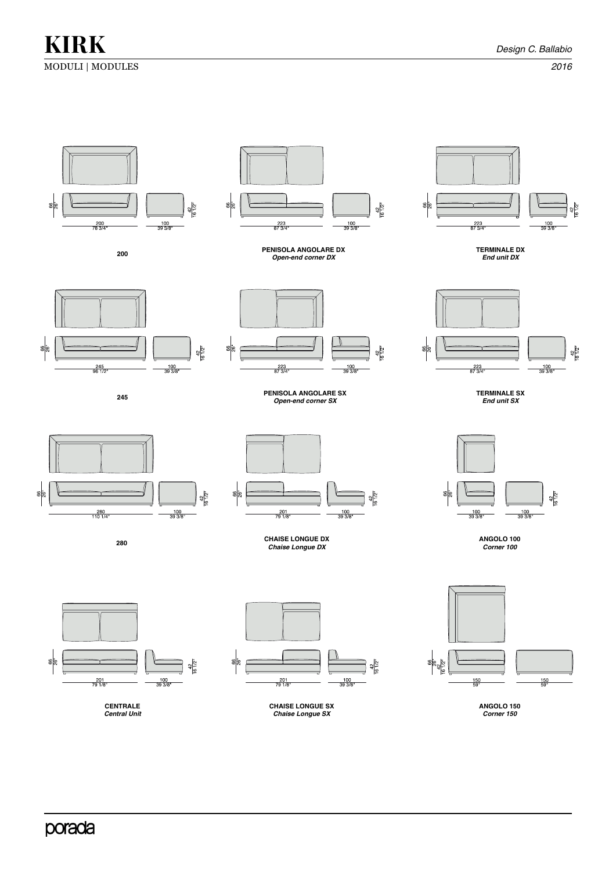MODULI | MODULES *2016*

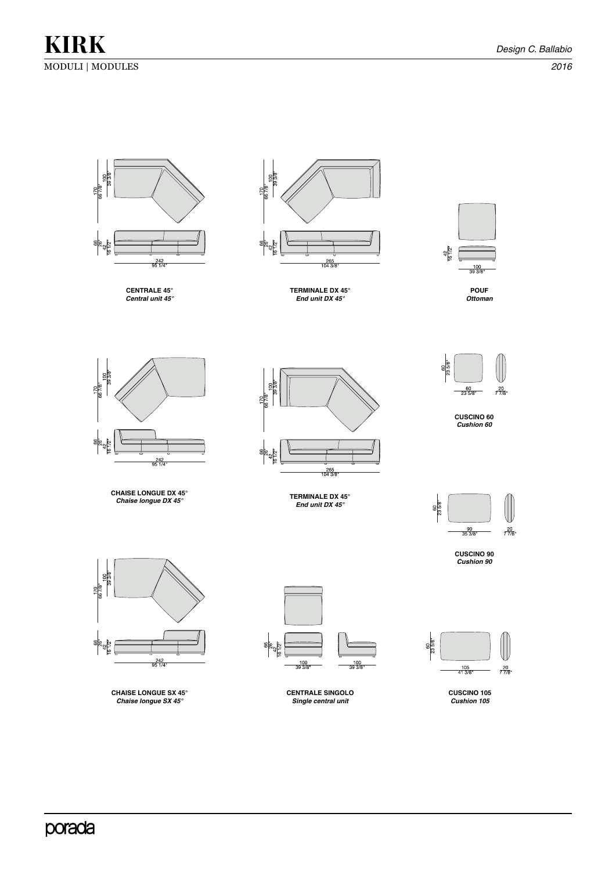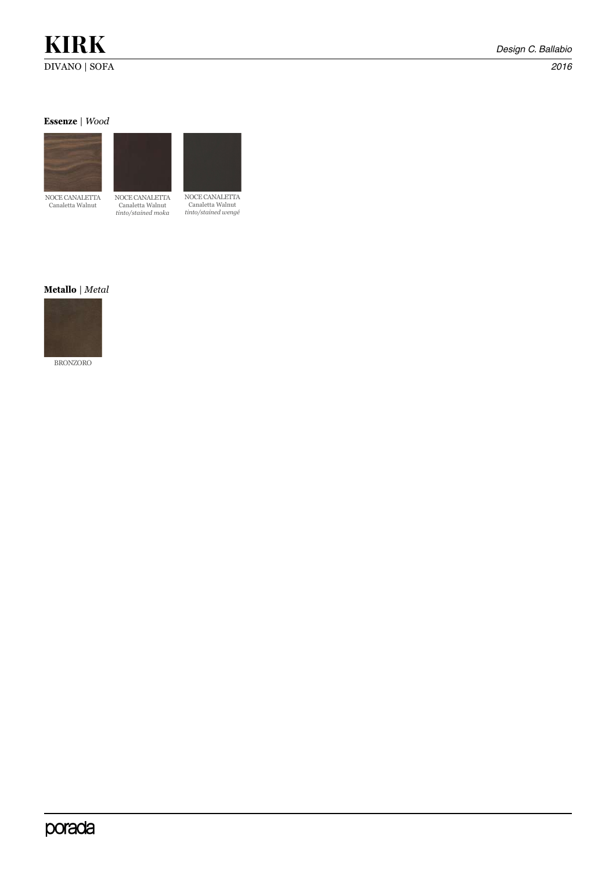# **KIRK** *Design C. Ballabio*

DIVANO | SOFA *2016*

**Essenze** | *Wood*



NOCE CANALETTA Canaletta Walnut



NOCE CANALETTA Canaletta Walnut *tinto/stained wengé*

## **Metallo** | *Metal*



BRONZORO